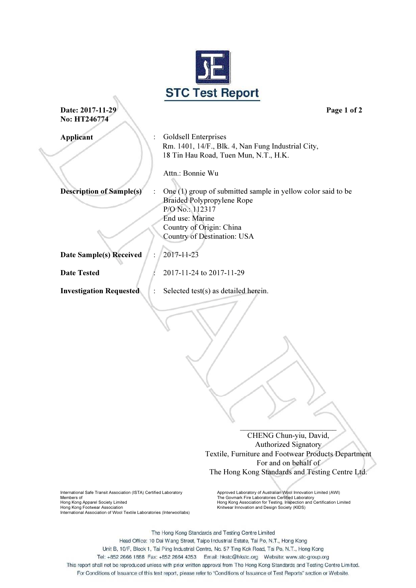

**Date: 2017-11-29 Page 1 of 2** No: HT246774

j

Applicant : Goldsell Enterprises Rm. 1401, 14/F., Blk. 4, Nan Fung Industrial City, 18 Tin Hau Road, Tuen Mun, N.T., H.K.

Attn.: Bonnie Wu

P/O No.: 112317 End use: Marine

**Description of Sample(s)** : One (1) group of submitted sample in yellow color said to be

Country of Origin: China Country of Destination: USA

Date Sample(s) Received : 2017-11-23

**Date Tested : 2017-11-24 to 2017-11-29** 

Braided Polypropylene Rope

Investigation Requested : Selected test(s) as detailed herein.

 \_\_\_\_\_\_\_\_\_\_\_\_\_\_\_\_\_\_\_\_\_\_\_\_\_ CHENG Chun-yiu, David, Authorized Signatory Textile, Furniture and Footwear Products Department For and on behalf of The Hong Kong Standards and Testing Centre Ltd.

International Safe Transit Association (ISTA) Certified Laboratory Members of Hong Kong Footwear Association<br>International Association of Wool Textile Laboratories (Interwoollabs) Knitwear Innovation and Design Society (KIDS)

Approved Laboratory of Australian Wool Innovation Limited (AWI) Members of<br>Hong Kong Apparel Society Limited Hong Members of Hong Kong Association for Testing, Inspection and Certification Limited

The Hong Kong Standards and Testing Centre Limited Head Office: 10 Dai Wang Street, Taipo Industrial Estate, Tai Po, N.T., Hong Kong Unit B, 10/F, Block 1, Tai Ping Industrial Centre, No. 57 Ting Kok Road, Tai Po, N.T., Hong Kong Tel: +852 2666 1888 Fax: +852 2664 4353 Email: hkstc@hkstc.org Website: www.stc-group.org This report shall not be reproduced unless with prior written approval from The Hong Kong Standards and Testing Centre Limited. For Conditions of Issuance of this test report, please refer to "Conditions of Issuance of Test Reports" section or Website.